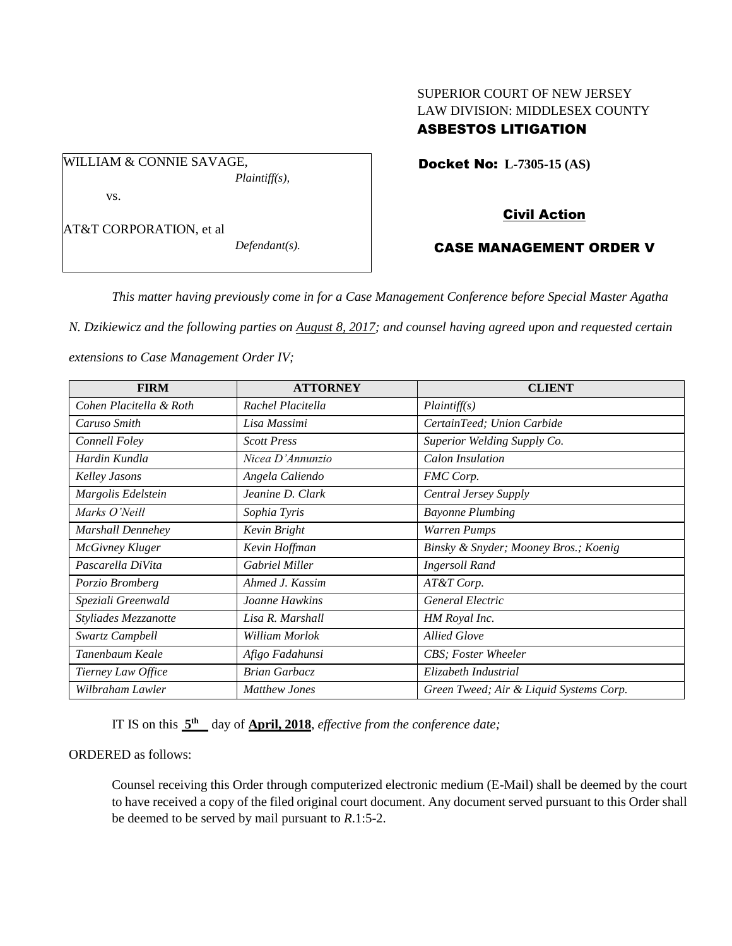# SUPERIOR COURT OF NEW JERSEY LAW DIVISION: MIDDLESEX COUNTY ASBESTOS LITIGATION

Docket No: **L-7305-15 (AS)** 

AT&T CORPORATION, et al

vs.

WILLIAM & CONNIE SAVAGE,

*Defendant(s).*

*Plaintiff(s),*

# Civil Action

# CASE MANAGEMENT ORDER V

*This matter having previously come in for a Case Management Conference before Special Master Agatha* 

*N. Dzikiewicz and the following parties on August 8, 2017; and counsel having agreed upon and requested certain* 

*extensions to Case Management Order IV;*

| <b>FIRM</b>             | <b>ATTORNEY</b>       | <b>CLIENT</b>                           |
|-------------------------|-----------------------|-----------------------------------------|
| Cohen Placitella & Roth | Rachel Placitella     | Plaintiff(s)                            |
| Caruso Smith            | Lisa Massimi          | CertainTeed; Union Carbide              |
| Connell Foley           | <b>Scott Press</b>    | Superior Welding Supply Co.             |
| Hardin Kundla           | Nicea D'Annunzio      | Calon Insulation                        |
| <b>Kelley Jasons</b>    | Angela Caliendo       | FMC Corp.                               |
| Margolis Edelstein      | Jeanine D. Clark      | <b>Central Jersey Supply</b>            |
| Marks O'Neill           | Sophia Tyris          | <b>Bayonne Plumbing</b>                 |
| Marshall Dennehey       | Kevin Bright          | Warren Pumps                            |
| <b>McGivney Kluger</b>  | Kevin Hoffman         | Binsky & Snyder; Mooney Bros.; Koenig   |
| Pascarella DiVita       | <b>Gabriel Miller</b> | <b>Ingersoll Rand</b>                   |
| Porzio Bromberg         | Ahmed J. Kassim       | AT&T Corp.                              |
| Speziali Greenwald      | Joanne Hawkins        | General Electric                        |
| Styliades Mezzanotte    | Lisa R. Marshall      | HM Royal Inc.                           |
| Swartz Campbell         | William Morlok        | <b>Allied Glove</b>                     |
| Tanenbaum Keale         | Afigo Fadahunsi       | CBS; Foster Wheeler                     |
| Tierney Law Office      | <b>Brian Garbacz</b>  | Elizabeth Industrial                    |
| Wilbraham Lawler        | <b>Matthew Jones</b>  | Green Tweed; Air & Liquid Systems Corp. |

IT IS on this  $5<sup>th</sup>$  day of **April, 2018**, *effective from the conference date*;

ORDERED as follows:

Counsel receiving this Order through computerized electronic medium (E-Mail) shall be deemed by the court to have received a copy of the filed original court document. Any document served pursuant to this Order shall be deemed to be served by mail pursuant to *R*.1:5-2.